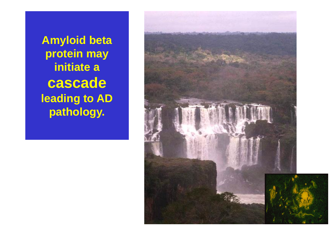**Amyloid beta protein may initiate a cascade leading to AD pathology.**

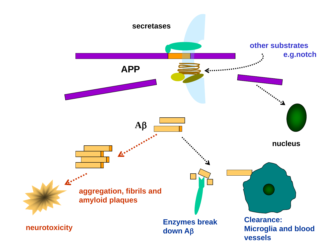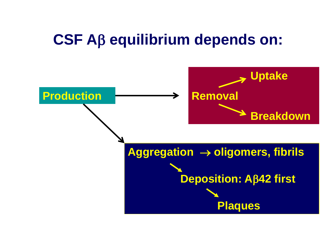## **CSF Aβ equilibrium depends on:**

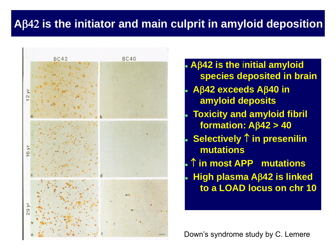#### **A**42 **is the initiator and main culprit in amyloid deposition**



 **A42 is the** i**nitial amyloid species deposited in brain A42 exceeds A40 in amyloid deposits Toxicity and amyloid fibril formation:**  $A\beta$ 42 > 40 **Selectively 1 in presenilin mutations in most APP mutations High plasma A42 is linked to a LOAD locus on chr 10**

Down's syndrome study by C. Lemere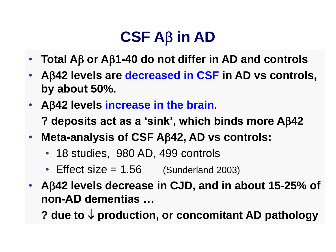# $CSF AB$  in  $AD$

- Total Aβ or Aβ1-40 do not differ in AD and controls
- **A42 levels are decreased in CSF in AD vs controls, by about 50%.**
- **A42 levels increase in the brain.** 
	- **? deposits act as a 'sink', which binds more A42**
- **Meta-analysis of CSF A42, AD vs controls:**
	- 18 studies, 980 AD, 499 controls
	- Effect size  $= 1.56$  (Sunderland 2003)
- **A42 levels decrease in CJD, and in about 15-25% of non-AD dementias …**

? due to  $\downarrow$  production, or concomitant AD pathology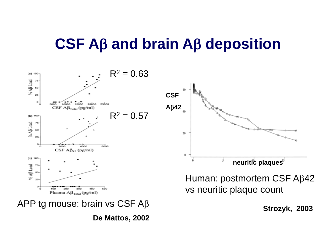## **CSF Aβ and brain Aβ deposition**



**De Mattos, 2002**

**Strozyk, 2003**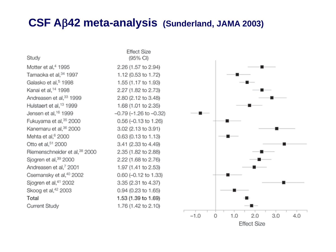#### **CSF A42 meta-analysis (Sunderland, JAMA 2003)**

Study Motter et al.<sup>4</sup> 1995 Tamaoka et al, 34 1997 Galasko et al,<sup>5</sup> 1998 Kanai et al,<sup>14</sup> 1998 Andreasen et al,<sup>33</sup> 1999 Hulstaert et al.<sup>13</sup> 1999 Jensen et al.<sup>16</sup> 1999 Fukuyama et al.<sup>35</sup> 2000 Kanemaru et al.<sup>36</sup> 2000 Mehta et al.<sup>6</sup> 2000 Otto et al, 51 2000 Riemenschneider et al.<sup>38</sup> 2000 Sjogren et al, 39 2000 Andreasen et al.<sup>7</sup> 2001 Csemansky et al,<sup>40</sup> 2002 Sjogren et al,<sup>41</sup> 2002 Skoog et al,<sup>42</sup> 2003 Total Current Study

**Effect Size** (95% CI) 2.26 (1.57 to 2.94) 1.12 (0.53 to 1.72) 1.55 (1.17 to 1.93) 2.27 (1.82 to 2.73) 2.80 (2.12 to 3.48) 1.68 (1.01 to 2.35)  $-0.79$  ( $-1.26$  to  $-0.32$ ) 0.56 (-0.13 to 1.26) 3.02 (2.13 to 3.91) 0.63 (0.13 to 1.13) 3.41 (2.33 to 4.49) 2.35 (1.82 to 2.88) 2.22 (1.68 to 2.76) 1.97 (1.41 to 2.53) 0.60 (-0.12 to 1.33) 3.35 (2.31 to 4.37) 0.94 (0.23 to 1.65) 1.53 (1.39 to 1.69) 1.76 (1.42 to 2.10)

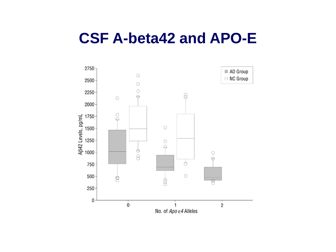## **CSF A-beta42 and APO-E**

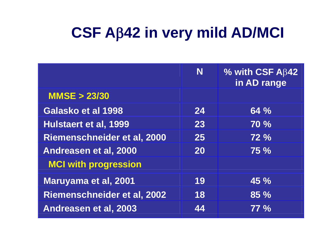# **CSF A42 in very mild AD/MCI**

|                                    | N  | % with CSF $A\beta 42$<br>in AD range |
|------------------------------------|----|---------------------------------------|
| <b>MMSE &gt; 23/30</b>             |    |                                       |
| Galasko et al 1998                 | 24 | 64%                                   |
| Hulstaert et al, 1999              | 23 | <b>70 %</b>                           |
| Riemenschneider et al, 2000        | 25 | 72%                                   |
| Andreasen et al, 2000              | 20 | <b>75 %</b>                           |
| <b>MCI with progression</b>        |    |                                       |
| Maruyama et al, 2001               | 19 | 45%                                   |
| <b>Riemenschneider et al, 2002</b> | 18 | $85\%$                                |
| Andreasen et al, 2003              | 44 | $77\%$                                |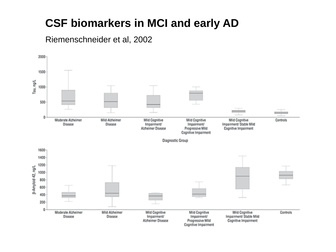### **CSF biomarkers in MCI and early AD**

Riemenschneider et al, 2002

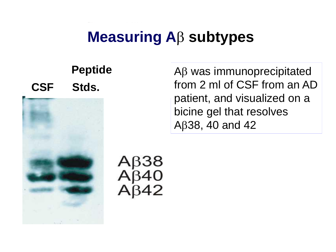# **Measuring A<sub>B</sub> subtypes**

## **Peptide CSF Stds.**



Αβ38<br>Αβ40

 $AB$  was immunoprecipitated from 2 ml of CSF from an AD patient, and visualized on a bicine gel that resolves A $\beta$ 38, 40 and 42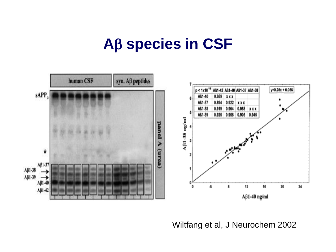## **A** β species in CSF



Wiltfang et al, J Neurochem 2002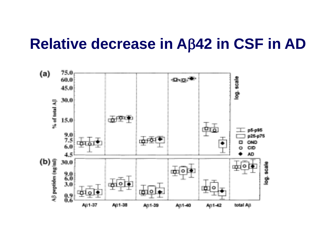## **Relative decrease in A42 in CSF in AD**

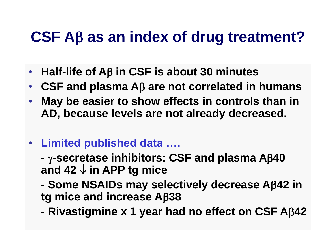# **CSF Aβ as an index of drug treatment?**

- Half-life of Aβ in CSF is about 30 minutes
- CSF and plasma A<sub>B</sub> are not correlated in humans
- **May be easier to show effects in controls than in AD, because levels are not already decreased.**
- **Limited published data ….**
	- **- -secretase inhibitors: CSF and plasma A40**  and  $42 \downarrow$  in APP tg mice
	- **- Some NSAIDs may selectively decrease A42 in tg mice and increase A38**
	- **- Rivastigmine x 1 year had no effect on CSF A42**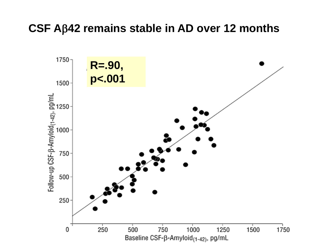#### **CSF A42 remains stable in AD over 12 months**

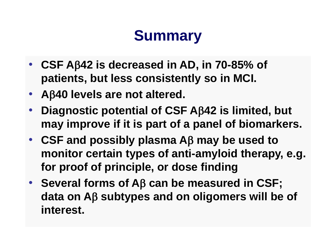# **Summary**

- **CSF A42 is decreased in AD, in 70-85% of patients, but less consistently so in MCI.**
- **A40 levels are not altered.**
- **Diagnostic potential of CSF A42 is limited, but may improve if it is part of a panel of biomarkers.**
- CSF and possibly plasma A<sub>B</sub> may be used to **monitor certain types of anti-amyloid therapy, e.g. for proof of principle, or dose finding**
- Several forms of Aβ can be measured in CSF; **data on A subtypes and on oligomers will be of interest.**